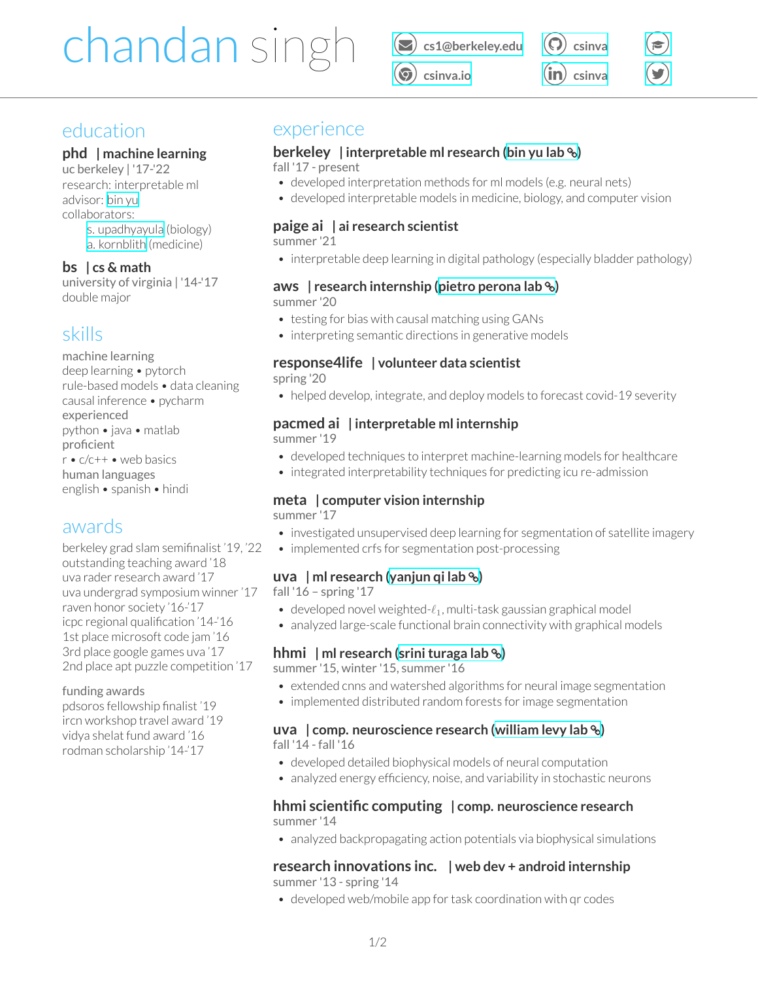# chandan singh *⃝* **[cs1@berkeley.edu](mailto:cs1@berkeley.edu)**

*⃝* **[csinva.io](https://csinva.io/)** *⃝* **[csinva](https://github.com/csinva)** *⃝* **[csinva](https://www.linkedin.com/in/csinva/)**

*[⃝](https://scholar.google.com/citations?user=XpttKK8AAAAJ&hl=en&oi=sra)*

*[⃝](https://twitter.com/csinva_)*

# education

## **phd | machine learning**

uc berkeley | '17-'22 research: interpretable ml advisor: [bin](https://www.stat.berkeley.edu/~binyu/Site/Welcome.html) yu collaborators:

s. [upadhyayula](https://vcresearch.berkeley.edu/faculty/srigokul-upadhyayula) (biology)

a. [kornblith](https://profiles.ucsf.edu/aaron.kornblith) (medicine)

## **bs | cs & math**

university of virginia | '14-'17 double major

# skills

machine learning deep learning • pytorch rule-based models • data cleaning causal inference • pycharm experienced python • java • matlab proficient r • c/c++ • web basics human languages english • spanish • hindi

# awards

berkeley grad slam semifinalist '19, '22 outstanding teaching award '18 uva rader research award '17 uva undergrad symposium winner'17 raven honor society '16-'17 icpc regional qualification '14-'16 1st place microsoft code jam '16 3rd place google games uva '17 2nd place apt puzzle competition '17

funding awards

pdsoros fellowship finalist '19 ircn workshop travel award '19 vidya shelat fund award '16 rodman scholarship '14-'17

# experience

# **berkeley | interpretable ml research [\(bin yu lab](https://scholar.google.com/citations?user=xT19Jc0AAAAJ) )**

fall '17 - present

- developed interpretation methods for ml models (e.g. neural nets)
- developed interpretable models in medicine, biology, and computer vision

# **paige ai | ai research scientist**

summer '21

• interpretable deep learning in digital pathology (especially bladder pathology)

#### **aws | research internship [\(pietro perona lab](https://scholar.google.com/citations?user=j29kMCwAAAAJ) )** summer '20

- testing for bias with causal matching using GANs
- interpreting semantic directions in generative models

# **response4life | volunteer data scientist**

spring '20

• helped develop, integrate, and deploy models to forecast covid-19 severity

# **pacmed ai | interpretable ml internship**

summer '19

- developed techniques to interpret machine-learning models for healthcare
- integrated interpretability techniques for predicting icu re-admission

## **meta | computer vision internship**

summer '17

- investigated unsupervised deep learning for segmentation of satellite imagery
- implemented crfs for segmentation post-processing

## **uva | ml research([yanjun qi lab](https://scholar.google.com/citations?user=eXKdSu0AAAAJ) )**

fall '16 – spring '17

- developed novel weighted-*ℓ*1, multi-task gaussian graphical model
- analyzed large-scale functional brain connectivity with graphical models

## **hhmi | ml research [\(srini turaga lab](https://scholar.google.com/citations?user=V_NdI3sAAAAJ) )**

summer '15, winter '15, summer '16

- extended cnns and watershed algorithms for neural image segmentation
- implemented distributed random forests for image segmentation

#### **uva | comp. neuroscience research [\(william levy lab](https://faculty.virginia.edu/levylab/) )** fall '14 - fall '16

- developed detailed biophysical models of neural computation
- analyzed energy efficiency, noise, and variability in stochastic neurons

## **hhmi scientific computing | comp. neuroscience research** summer '14

• analyzed backpropagating action potentials via biophysical simulations

## **research innovations inc. | web dev + android internship** summer '13 - spring '14

• developed web/mobile app for task coordination with qr codes